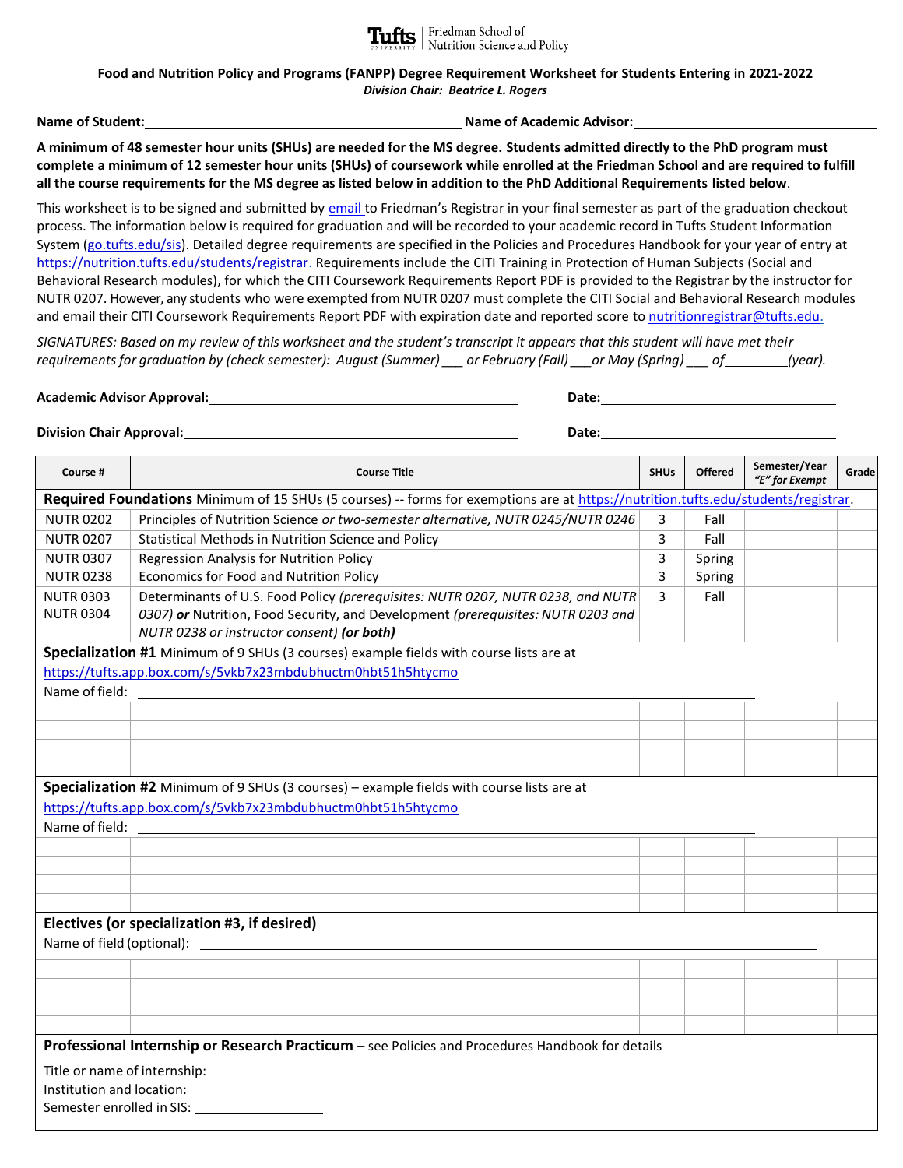

**Tufts** Friedman School of Nutrition Science and Policy

**Food and Nutrition Policy and Programs (FANPP) Degree Requirement Worksheet for Students Entering in 2021-2022** *Division Chair: Beatrice L. Rogers*

**Name of Student: Name of Academic Advisor:**

**A minimum of 48 semester hour units (SHUs) are needed for the MS degree. Students admitted directly to the PhD program must complete a minimum of 12 semester hour units (SHUs) of coursework while enrolled at the Friedman School and are required to fulfill all the course requirements for the MS degree as listed below in addition to the PhD Additional Requirements listed below**.

This worksheet is to be signed and submitted b[y email](mailto:nutritionregistrar@tufts.edu) to Friedman's Registrar in your final semester as part of the graduation checkout process. The information below is required for graduation and will be recorded to your academic record in Tufts Student Information System [\(go.tufts.edu/sis\)](file:///C:/Users/MFRANK02/AppData/Local/Microsoft/Windows/INetCache/Content.Outlook/1UWQLUAG/go.tufts.edu/sis). Detailed degree requirements are specified in the Policies and Procedures Handbook for your year of entry at <https://nutrition.tufts.edu/students/registrar.> Requirements include the CITI Training in Protection of Human Subjects (Social and Behavioral Research modules), for which the CITI Coursework Requirements Report PDF is provided to the Registrar by the instructor for NUTR 0207. However, any students who were exempted from NUTR 0207 must complete the CITI Social and Behavioral Research modules and email their CITI Coursework Requirements Report PDF with expiration date and reported score to [nutritionregistrar@tufts.edu.](mailto:nutritionregistrar@tufts.edu)

*SIGNATURES: Based on my review of this worksheet and the student's transcript it appears that this student will have met their requirements for graduation by (check semester): August (Summer) \_\_\_ or February (Fall) \_\_\_or May (Spring) \_\_\_ of (year).*

**Academic Advisor Approval: Date:**

**Division Chair Approval: Division Chair Approval: Date: Date: Date: Date: Date: Date: Date: Date: Date: Date: Date: Date: Date: Date: Date: Date: Date: Date: Date: Date: Date:**

| Course #                                                                                                                           | <b>Course Title</b>                                                              | <b>SHUs</b> | <b>Offered</b> | Semester/Year<br>"E" for Exempt | Grade |  |  |  |  |
|------------------------------------------------------------------------------------------------------------------------------------|----------------------------------------------------------------------------------|-------------|----------------|---------------------------------|-------|--|--|--|--|
| Required Foundations Minimum of 15 SHUs (5 courses) -- forms for exemptions are at https://nutrition.tufts.edu/students/registrar. |                                                                                  |             |                |                                 |       |  |  |  |  |
| <b>NUTR 0202</b>                                                                                                                   | Principles of Nutrition Science or two-semester alternative, NUTR 0245/NUTR 0246 | 3           | Fall           |                                 |       |  |  |  |  |
| <b>NUTR 0207</b>                                                                                                                   | Statistical Methods in Nutrition Science and Policy                              | 3           | Fall           |                                 |       |  |  |  |  |
| <b>NUTR 0307</b>                                                                                                                   | Regression Analysis for Nutrition Policy                                         | 3           | Spring         |                                 |       |  |  |  |  |
| <b>NUTR 0238</b>                                                                                                                   | Economics for Food and Nutrition Policy                                          | 3           | Spring         |                                 |       |  |  |  |  |
| <b>NUTR 0303</b>                                                                                                                   | Determinants of U.S. Food Policy (prerequisites: NUTR 0207, NUTR 0238, and NUTR  | 3           | Fall           |                                 |       |  |  |  |  |
| <b>NUTR 0304</b>                                                                                                                   | 0307) or Nutrition, Food Security, and Development (prerequisites: NUTR 0203 and |             |                |                                 |       |  |  |  |  |
|                                                                                                                                    | NUTR 0238 or instructor consent) (or both)                                       |             |                |                                 |       |  |  |  |  |
| Specialization #1 Minimum of 9 SHUs (3 courses) example fields with course lists are at                                            |                                                                                  |             |                |                                 |       |  |  |  |  |
| https://tufts.app.box.com/s/5vkb7x23mbdubhuctm0hbt51h5htycmo                                                                       |                                                                                  |             |                |                                 |       |  |  |  |  |
| Name of field:                                                                                                                     |                                                                                  |             |                |                                 |       |  |  |  |  |
|                                                                                                                                    |                                                                                  |             |                |                                 |       |  |  |  |  |
|                                                                                                                                    |                                                                                  |             |                |                                 |       |  |  |  |  |
|                                                                                                                                    |                                                                                  |             |                |                                 |       |  |  |  |  |
|                                                                                                                                    |                                                                                  |             |                |                                 |       |  |  |  |  |
| Specialization #2 Minimum of 9 SHUs (3 courses) - example fields with course lists are at                                          |                                                                                  |             |                |                                 |       |  |  |  |  |
| https://tufts.app.box.com/s/5vkb7x23mbdubhuctm0hbt51h5htycmo                                                                       |                                                                                  |             |                |                                 |       |  |  |  |  |
| Name of field:                                                                                                                     |                                                                                  |             |                |                                 |       |  |  |  |  |
|                                                                                                                                    |                                                                                  |             |                |                                 |       |  |  |  |  |
|                                                                                                                                    |                                                                                  |             |                |                                 |       |  |  |  |  |
|                                                                                                                                    |                                                                                  |             |                |                                 |       |  |  |  |  |
|                                                                                                                                    |                                                                                  |             |                |                                 |       |  |  |  |  |
| Electives (or specialization #3, if desired)                                                                                       |                                                                                  |             |                |                                 |       |  |  |  |  |
| Name of field (optional): <u>________________________________</u>                                                                  |                                                                                  |             |                |                                 |       |  |  |  |  |
|                                                                                                                                    |                                                                                  |             |                |                                 |       |  |  |  |  |
|                                                                                                                                    |                                                                                  |             |                |                                 |       |  |  |  |  |
|                                                                                                                                    |                                                                                  |             |                |                                 |       |  |  |  |  |
|                                                                                                                                    |                                                                                  |             |                |                                 |       |  |  |  |  |
| Professional Internship or Research Practicum - see Policies and Procedures Handbook for details                                   |                                                                                  |             |                |                                 |       |  |  |  |  |
|                                                                                                                                    |                                                                                  |             |                |                                 |       |  |  |  |  |
| Title or name of internship: Title or name of internship:<br>Institution and location:                                             |                                                                                  |             |                |                                 |       |  |  |  |  |
| Semester enrolled in SIS:                                                                                                          |                                                                                  |             |                |                                 |       |  |  |  |  |
|                                                                                                                                    |                                                                                  |             |                |                                 |       |  |  |  |  |